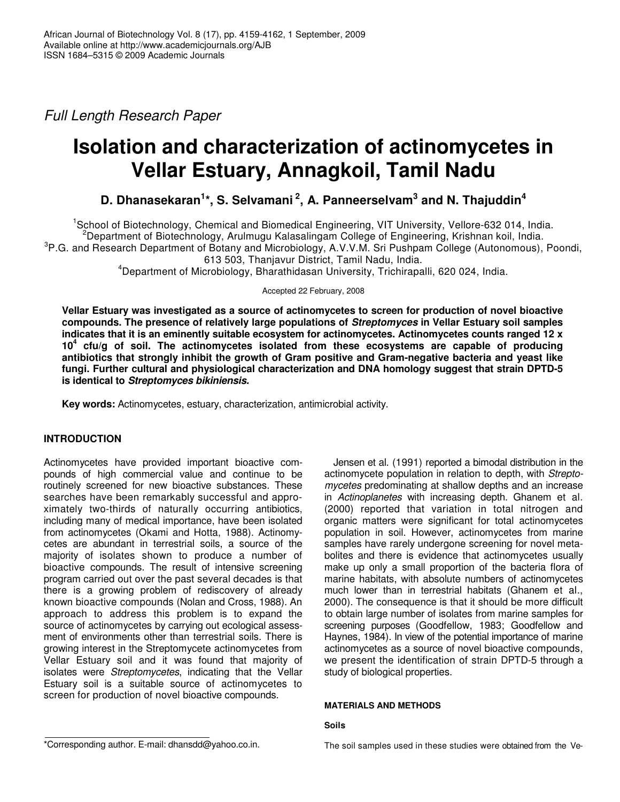*Full Length Research Paper*

# **Isolation and characterization of actinomycetes in Vellar Estuary, Annagkoil, Tamil Nadu**

# **D. Dhanasekaran 1 \*, S. Selvamani 2 , A. Panneerselvam 3 and N. Thajuddin 4**

<sup>1</sup>School of Biotechnology, Chemical and Biomedical Engineering, VIT University, Vellore-632 014, India. <sup>2</sup>Department of Biotechnology, Arulmugu Kalasalingam College of Engineering, Krishnan koil, India. <sup>3</sup>P.G. and Research Department of Botany and Microbiology, A.V.V.M. Sri Pushpam College (Autonomous), Poondi, 613 503, Thanjavur District, Tamil Nadu, India.

<sup>4</sup>Department of Microbiology, Bharathidasan University, Trichirapalli, 620 024, India.

Accepted 22 February, 2008

**Vellar Estuary was investigated as a source of actinomycetes to screen for production of novel bioactive compounds. The presence of relatively large populations of** *Streptomyces* **in Vellar Estuary soil samples indicates that it is an eminently suitable ecosystem for actinomycetes. Actinomycetes counts ranged 12 x 10 4 cfu/g of soil. The actinomycetes isolated from these ecosystems are capable of producing antibiotics that strongly inhibit the growth of Gram positive and Gram-negative bacteria and yeast like fungi. Further cultural and physiological characterization and DNA homology suggest that strain DPTD-5 is identical to** *Streptomyces bikiniensis.*

**Key words:** Actinomycetes, estuary, characterization, antimicrobial activity.

# **INTRODUCTION**

Actinomycetes have provided important bioactive compounds of high commercial value and continue to be routinely screened for new bioactive substances. These searches have been remarkably successful and approximately two-thirds of naturally occurring antibiotics, including many of medical importance, have been isolated from actinomycetes (Okami and Hotta, 1988). Actinomycetes are abundant in terrestrial soils, a source of the majority of isolates shown to produce a number of bioactive compounds. The result of intensive screening program carried out over the past several decades is that there is a growing problem of rediscovery of already known bioactive compounds (Nolan and Cross, 1988). An approach to address this problem is to expand the source of actinomycetes by carrying out ecological assessment of environments other than terrestrial soils. There is growing interest in the Streptomycete actinomycetes from Vellar Estuary soil and it was found that majority of isolates were *Streptomycetes*, indicating that the Vellar Estuary soil is a suitable source of actinomycetes to screen for production of novel bioactive compounds.

Jensen et al*.* (1991) reported a bimodal distribution in the actinomycete population in relation to depth, with *Streptomycetes* predominating at shallow depths and an increase in *Actinoplanetes* with increasing depth. Ghanem et al*.* (2000) reported that variation in total nitrogen and organic matters were significant for total actinomycetes population in soil. However, actinomycetes from marine samples have rarely undergone screening for novel metabolites and there is evidence that actinomycetes usually make up only a small proportion of the bacteria flora of marine habitats, with absolute numbers of actinomycetes much lower than in terrestrial habitats (Ghanem et al*.*, 2000). The consequence is that it should be more difficult to obtain large number of isolates from marine samples for screening purposes (Goodfellow, 1983; Goodfellow and Haynes, 1984). In view of the potential importance of marine actinomycetes as a source of novel bioactive compounds, we present the identification of strain DPTD-5 through a study of biological properties.

# **MATERIALS AND METHODS**

# **Soils**

The soil samples used in these studies were obtained from the Ve-

<sup>\*</sup>Corresponding author. E-mail: dhansdd@yahoo.co.in.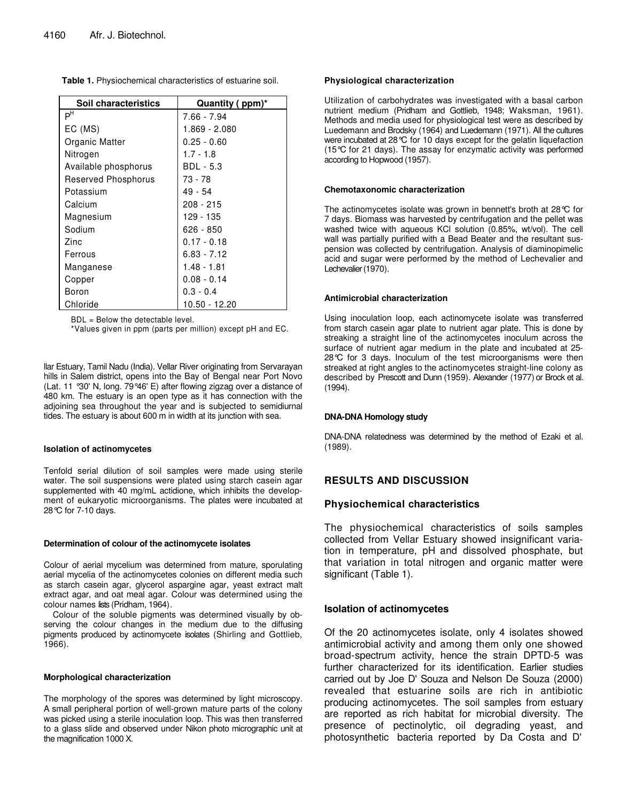| Soil characteristics | Quantity (ppm)* |  |  |
|----------------------|-----------------|--|--|
| P <sup>H</sup>       | 7.66 - 7.94     |  |  |
| EC (MS)              | 1.869 - 2.080   |  |  |
| Organic Matter       | $0.25 - 0.60$   |  |  |
| Nitrogen             | $1.7 - 1.8$     |  |  |
| Available phosphorus | BDL - 5.3       |  |  |
| Reserved Phosphorus  | 73 - 78         |  |  |
| Potassium            | $49 - 54$       |  |  |
| Calcium              | $208 - 215$     |  |  |
| Magnesium            | 129 - 135       |  |  |
| Sodium               | $626 - 850$     |  |  |
| Zinc.                | $0.17 - 0.18$   |  |  |
| Ferrous              | $6.83 - 7.12$   |  |  |
| Manganese            | $1.48 - 1.81$   |  |  |
| Copper               | $0.08 - 0.14$   |  |  |
| Boron                | $0.3 - 0.4$     |  |  |
| Chloride             | 10.50 - 12.20   |  |  |

BDL = Below the detectable level.

\*Values given in ppm (parts per million) except pH and EC.

llar Estuary, Tamil Nadu (India). Vellar River originating from Servarayan hills in Salem district, opens into the Bay of Bengal near Port Novo (Lat. 11 °30' N, long. 79°46' E) after flowing zigzag over a distance of 480 km. The estuary is an open type as it has connection with the adjoining sea throughout the year and is subjected to semidiurnal tides. The estuary is about 600 m in width at its junction with sea.

#### **Isolation of actinomycetes**

Tenfold serial dilution of soil samples were made using sterile water. The soil suspensions were plated using starch casein agar supplemented with 40 mg/mL actidione, which inhibits the development of eukaryotic microorganisms. The plates were incubated at 28°C for 7-10 days.

#### **Determination of colour of the actinomycete isolates**

Colour of aerial mycelium was determined from mature, sporulating aerial mycelia of the actinomycetes colonies on different media such as starch casein agar, glycerol aspargine agar, yeast extract malt extract agar, and oat meal agar. Colour was determined using the colour names lists (Pridham, 1964).

Colour of the soluble pigments was determined visually by observing the colour changes in the medium due to the diffusing pigments produced by actinomycete isolates (Shirling and Gottlieb, 1966).

#### **Morphological characterization**

The morphology of the spores was determined by light microscopy. A small peripheral portion of well-grown mature parts of the colony was picked using a sterile inoculation loop. This was then transferred to a glass slide and observed under Nikon photo micrographic unit at the magnification 1000 X.

#### **Physiological characterization**

Utilization of carbohydrates was investigated with a basal carbon nutrient medium (Pridham and Gottlieb, 1948; Waksman, 1961). Methods and media used for physiological test were as described by Luedemann and Brodsky (1964) and Luedemann (1971). All the cultures were incubated at 28°C for 10 days except for the gelatin liquefaction (15°C for 21 days). The assay for enzymatic activity was performed according to Hopwood (1957).

#### **Chemotaxonomic characterization**

The actinomycetes isolate was grown in bennett's broth at 28°C for 7 days. Biomass was harvested by centrifugation and the pellet was washed twice with aqueous KCl solution (0.85%, wt/vol). The cell wall was partially purified with a Bead Beater and the resultant suspension was collected by centrifugation. Analysis of diaminopimelic acid and sugar were performed by the method of Lechevalier and Lechevalier (1970).

#### **Antimicrobial characterization**

Using inoculation loop, each actinomycete isolate was transferred from starch casein agar plate to nutrient agar plate. This is done by streaking a straight line of the actinomycetes inoculum across the surface of nutrient agar medium in the plate and incubated at 25- 28℃ for 3 days. Inoculum of the test microorganisms were then streaked at right angles to the actinomycetes straight-line colony as described by Prescott and Dunn (1959). Alexander (1977) or Brock et al*.* (1994).

#### **DNA-DNA Homology study**

DNA-DNA relatedness was determined by the method of Ezaki et al*.* (1989).

# **RESULTS AND DISCUSSION**

# **Physiochemical characteristics**

The physiochemical characteristics of soils samples collected from Vellar Estuary showed insignificant variation in temperature, pH and dissolved phosphate, but that variation in total nitrogen and organic matter were significant (Table 1).

#### **Isolation of actinomycetes**

Of the 20 actinomycetes isolate, only 4 isolates showed antimicrobial activity and among them only one showed broad-spectrum activity, hence the strain DPTD-5 was further characterized for its identification. Earlier studies carried out by Joe D' Souza and Nelson De Souza (2000) revealed that estuarine soils are rich in antibiotic producing actinomycetes. The soil samples from estuary are reported as rich habitat for microbial diversity. The presence of pectinolytic, oil degrading yeast, and photosynthetic bacteria reported by Da Costa and D'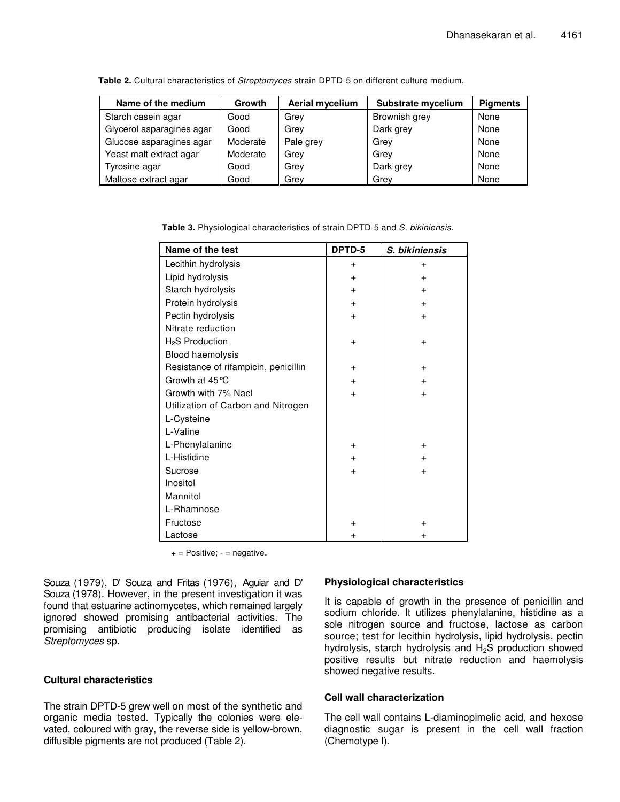| Name of the medium        | Growth   | Aerial mycelium | Substrate mycelium | <b>Pigments</b> |
|---------------------------|----------|-----------------|--------------------|-----------------|
| Starch casein agar        | Good     | Grev            | Brownish grey      | None            |
| Glycerol asparagines agar | Good     | Grey            | Dark grey          | None            |
| Glucose asparagines agar  | Moderate | Pale grey       | Grey               | None            |
| Yeast malt extract agar   | Moderate | Grev            | Grev               | None            |
| Tyrosine agar             | Good     | Grey            | Dark grey          | None            |
| Maltose extract agar      | Good     | Grev            | Grey               | None            |

**Table 2.** Cultural characteristics of *Streptomyces* strain DPTD-5 on different culture medium.

**Table 3.** Physiological characteristics of strain DPTD-5 and *S. bikiniensis.*

| Name of the test                     | DPTD-5    | S. bikiniensis |
|--------------------------------------|-----------|----------------|
| Lecithin hydrolysis                  | $+$       | $\ddot{}$      |
| Lipid hydrolysis                     | $+$       | $\ddot{}$      |
| Starch hydrolysis                    | $\ddot{}$ | $\ddot{}$      |
| Protein hydrolysis                   | $+$       | $\ddot{}$      |
| Pectin hydrolysis                    | $+$       | $\ddot{}$      |
| Nitrate reduction                    |           |                |
| $H2S$ Production                     | $+$       | $\ddot{}$      |
| Blood haemolysis                     |           |                |
| Resistance of rifampicin, penicillin | $+$       | $\ddot{}$      |
| Growth at 45 °C                      | $+$       | $\ddot{}$      |
| Growth with 7% Nacl                  | $\ddot{}$ | $\ddot{}$      |
| Utilization of Carbon and Nitrogen   |           |                |
| L-Cysteine                           |           |                |
| L-Valine                             |           |                |
| L-Phenylalanine                      | $+$       | $\ddot{}$      |
| L-Histidine                          | $+$       | $\ddot{}$      |
| Sucrose                              | $+$       | $\ddot{}$      |
| Inositol                             |           |                |
| Mannitol                             |           |                |
| L-Rhamnose                           |           |                |
| Fructose                             | +         | +              |
| Lactose                              | +         | +              |

 $+$  = Positive;  $-$  = negative.

Souza (1979), D' Souza and Fritas (1976), Aguiar and D' Souza (1978). However, in the present investigation it was found that estuarine actinomycetes, which remained largely ignored showed promising antibacterial activities. The promising antibiotic producing isolate identified as *Streptomyces* sp.

# **Cultural characteristics**

The strain DPTD-5 grew well on most of the synthetic and organic media tested. Typically the colonies were elevated, coloured with gray, the reverse side is yellow-brown, diffusible pigments are not produced (Table 2).

# **Physiological characteristics**

It is capable of growth in the presence of penicillin and sodium chloride. It utilizes phenylalanine, histidine as a sole nitrogen source and fructose, lactose as carbon source; test for lecithin hydrolysis, lipid hydrolysis, pectin hydrolysis, starch hydrolysis and  $H_2S$  production showed positive results but nitrate reduction and haemolysis showed negative results.

# **Cell wall characterization**

The cell wall contains L-diaminopimelic acid, and hexose diagnostic sugar is present in the cell wall fraction (Chemotype I).